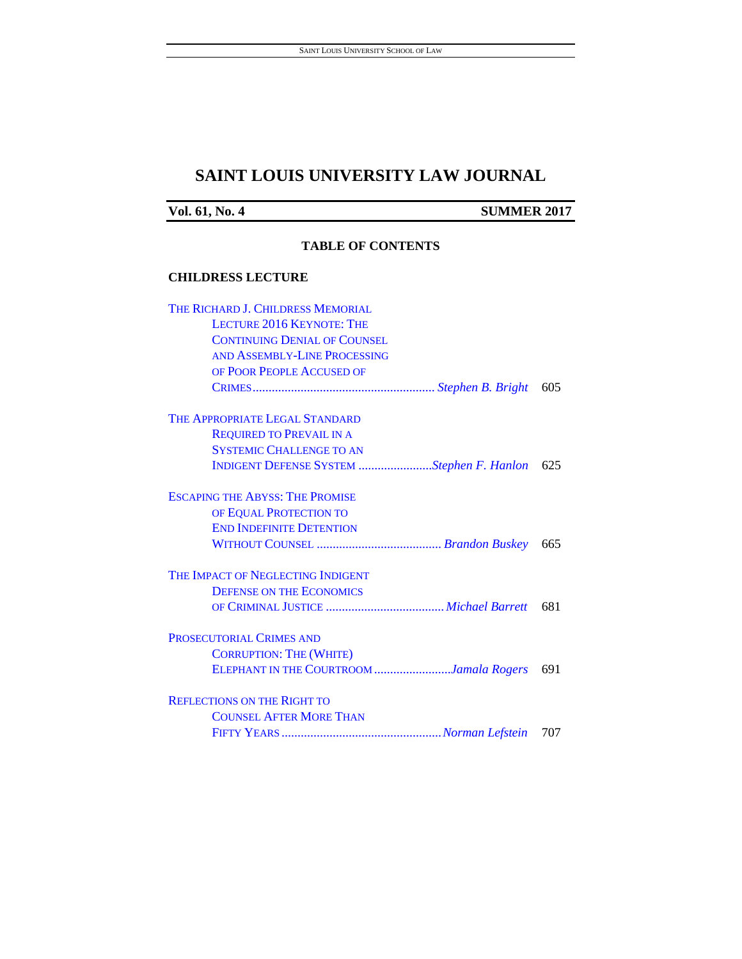# **SAINT LOUIS UNIVERSITY LAW JOURNAL**

**Vol. 61, No. 4** SUMMER 2017

#### **TABLE OF CONTENTS**

#### **CHILDRESS LECTURE**

| THE RICHARD J. CHILDRESS MEMORIAL         |     |
|-------------------------------------------|-----|
| <b>LECTURE 2016 KEYNOTE: THE</b>          |     |
| <b>CONTINUING DENIAL OF COUNSEL</b>       |     |
| AND ASSEMBLY-LINE PROCESSING              |     |
| OF POOR PEOPLE ACCUSED OF                 |     |
|                                           | 605 |
| THE APPROPRIATE LEGAL STANDARD            |     |
| <b>REQUIRED TO PREVAIL IN A</b>           |     |
| <b>SYSTEMIC CHALLENGE TO AN</b>           |     |
| INDIGENT DEFENSE SYSTEM Stephen F. Hanlon | 625 |
| <b>ESCAPING THE ABYSS: THE PROMISE</b>    |     |
| OF EQUAL PROTECTION TO                    |     |
| <b>END INDEFINITE DETENTION</b>           |     |
|                                           | 665 |
| THE IMPACT OF NEGLECTING INDIGENT         |     |
| <b>DEFENSE ON THE ECONOMICS</b>           |     |
|                                           | 681 |
| PROSECUTORIAL CRIMES AND                  |     |
| <b>CORRUPTION: THE (WHITE)</b>            |     |
| ELEPHANT IN THE COURTROOM Jamala Rogers   | 691 |
| <b>REFLECTIONS ON THE RIGHT TO</b>        |     |
| <b>COUNSEL AFTER MORE THAN</b>            |     |
|                                           | 707 |